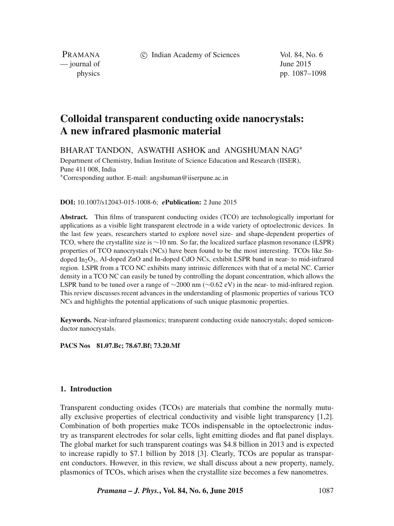c Indian Academy of Sciences Vol. 84, No. 6

PRAMANA  $\frac{1}{2015}$   $\frac{1}{2015}$ 

physics pp. 1087–1098

# **Colloidal transparent conducting oxide nanocrystals: A new infrared plasmonic material**

BHARAT TANDON, ASWATHI ASHOK and ANGSHUMAN NAG∗

Department of Chemistry, Indian Institute of Science Education and Research (IISER), Pune 411 008, India

∗Corresponding author. E-mail: angshuman@iiserpune.ac.in

**DOI:** 10.1007/s12043-015-1008-6; *e***Publication:** 2 June 2015

**Abstract.** Thin films of transparent conducting oxides (TCO) are technologically important for applications as a visible light transparent electrode in a wide variety of optoelectronic devices. In the last few years, researchers started to explore novel size- and shape-dependent properties of TCO, where the crystallite size is ∼10 nm. So far, the localized surface plasmon resonance (LSPR) properties of TCO nanocrystals (NCs) have been found to be the most interesting. TCOs like Sndoped In2O3, Al-doped ZnO and In-doped CdO NCs, exhibit LSPR band in near- to mid-infrared region. LSPR from a TCO NC exhibits many intrinsic differences with that of a metal NC. Carrier density in a TCO NC can easily be tuned by controlling the dopant concentration, which allows the LSPR band to be tuned over a range of ∼2000 nm (∼0.62 eV) in the near- to mid-infrared region. This review discusses recent advances in the understanding of plasmonic properties of various TCO NCs and highlights the potential applications of such unique plasmonic properties.

**Keywords.** Near-infrared plasmonics; transparent conducting oxide nanocrystals; doped semiconductor nanocrystals.

**PACS Nos 81.07.Bc; 78.67.Bf; 73.20.Mf**

### **1. Introduction**

Transparent conducting oxides (TCOs) are materials that combine the normally mutually exclusive properties of electrical conductivity and visible light transparency [1,2]. Combination of both properties make TCOs indispensable in the optoelectronic industry as transparent electrodes for solar cells, light emitting diodes and flat panel displays. The global market for such transparent coatings was \$4.8 billion in 2013 and is expected to increase rapidly to \$7.1 billion by 2018 [3]. Clearly, TCOs are popular as transparent conductors. However, in this review, we shall discuss about a new property, namely, plasmonics of TCOs, which arises when the crystallite size becomes a few nanometres.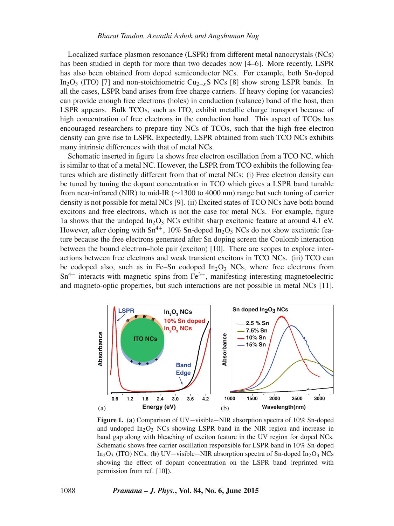Localized surface plasmon resonance (LSPR) from different metal nanocrystals (NCs) has been studied in depth for more than two decades now [4–6]. More recently, LSPR has also been obtained from doped semiconductor NCs. For example, both Sn-doped In<sub>2</sub>O<sub>3</sub> (ITO) [7] and non-stoichiometric Cu<sub>2−x</sub>S NCs [8] show strong LSPR bands. In all the cases, LSPR band arises from free charge carriers. If heavy doping (or vacancies) can provide enough free electrons (holes) in conduction (valance) band of the host, then LSPR appears. Bulk TCOs, such as ITO, exhibit metallic charge transport because of high concentration of free electrons in the conduction band. This aspect of TCOs has encouraged researchers to prepare tiny NCs of TCOs, such that the high free electron density can give rise to LSPR. Expectedly, LSPR obtained from such TCO NCs exhibits many intrinsic differences with that of metal NCs.

Schematic inserted in figure 1a shows free electron oscillation from a TCO NC, which is similar to that of a metal NC. However, the LSPR from TCO exhibits the following features which are distinctly different from that of metal NCs: (i) Free electron density can be tuned by tuning the dopant concentration in TCO which gives a LSPR band tunable from near-infrared (NIR) to mid-IR (∼1300 to 4000 nm) range but such tuning of carrier density is not possible for metal NCs [9]. (ii) Excited states of TCO NCs have both bound excitons and free electrons, which is not the case for metal NCs. For example, figure 1a shows that the undoped  $In_2O_3$  NCs exhibit sharp excitonic feature at around 4.1 eV. However, after doping with  $\text{Sn}^{4+}$ , 10% Sn-doped In<sub>2</sub>O<sub>3</sub> NCs do not show excitonic feature because the free electrons generated after Sn doping screen the Coulomb interaction between the bound electron–hole pair (exciton) [10]. There are scopes to explore interactions between free electrons and weak transient excitons in TCO NCs. (iii) TCO can be codoped also, such as in Fe–Sn codoped  $In_2O_3$  NCs, where free electrons from  $Sn^{4+}$  interacts with magnetic spins from  $Fe^{3+}$ , manifesting interesting magnetoelectric and magneto-optic properties, but such interactions are not possible in metal NCs [11].



**Figure 1.** (**a**) Comparison of UV−visible−NIR absorption spectra of 10% Sn-doped and undoped  $In_2O_3$  NCs showing LSPR band in the NIR region and increase in band gap along with bleaching of exciton feature in the UV region for doped NCs. Schematic shows free carrier oscillation responsible for LSPR band in 10% Sn-doped In2O3 (ITO) NCs. (**b**) UV−visible−NIR absorption spectra of Sn-doped In2O3 NCs showing the effect of dopant concentration on the LSPR band (reprinted with permission from ref. [10]).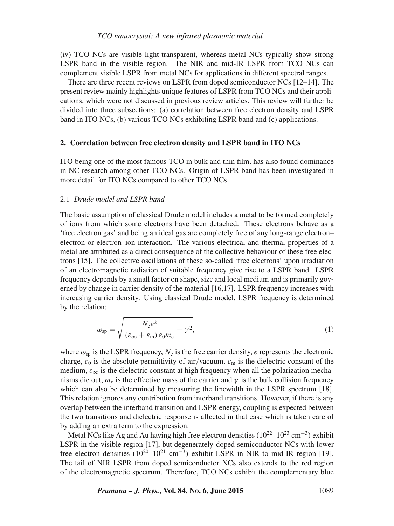(iv) TCO NCs are visible light-transparent, whereas metal NCs typically show strong LSPR band in the visible region. The NIR and mid-IR LSPR from TCO NCs can complement visible LSPR from metal NCs for applications in different spectral ranges.

There are three recent reviews on LSPR from doped semiconductor NCs [12–14]. The present review mainly highlights unique features of LSPR from TCO NCs and their applications, which were not discussed in previous review articles. This review will further be divided into three subsections: (a) correlation between free electron density and LSPR band in ITO NCs, (b) various TCO NCs exhibiting LSPR band and (c) applications.

### **2. Correlation between free electron density and LSPR band in ITO NCs**

ITO being one of the most famous TCO in bulk and thin film, has also found dominance in NC research among other TCO NCs. Origin of LSPR band has been investigated in more detail for ITO NCs compared to other TCO NCs.

### 2.1 *Drude model and LSPR band*

The basic assumption of classical Drude model includes a metal to be formed completely of ions from which some electrons have been detached. These electrons behave as a 'free electron gas' and being an ideal gas are completely free of any long-range electron– electron or electron–ion interaction. The various electrical and thermal properties of a metal are attributed as a direct consequence of the collective behaviour of these free electrons [15]. The collective oscillations of these so-called 'free electrons' upon irradiation of an electromagnetic radiation of suitable frequency give rise to a LSPR band. LSPR frequency depends by a small factor on shape, size and local medium and is primarily governed by change in carrier density of the material [16,17]. LSPR frequency increases with increasing carrier density. Using classical Drude model, LSPR frequency is determined by the relation:

$$
\omega_{\rm sp} = \sqrt{\frac{N_{\rm c}e^2}{(\varepsilon_{\infty} + \varepsilon_{\rm m})\,\varepsilon_{0}m_{\rm c}}} - \gamma^2,\tag{1}
$$

where  $\omega_{\rm sp}$  is the LSPR frequency,  $N_c$  is the free carrier density, e represents the electronic charge,  $\varepsilon_0$  is the absolute permittivity of air/vacuum,  $\varepsilon_m$  is the dielectric constant of the medium,  $\varepsilon_{\infty}$  is the dielectric constant at high frequency when all the polarization mechanisms die out,  $m_c$  is the effective mass of the carrier and  $\gamma$  is the bulk collision frequency which can also be determined by measuring the linewidth in the LSPR spectrum [18]. This relation ignores any contribution from interband transitions. However, if there is any overlap between the interband transition and LSPR energy, coupling is expected between the two transitions and dielectric response is affected in that case which is taken care of by adding an extra term to the expression.

Metal NCs like Ag and Au having high free electron densities ( $10^{22}$ – $10^{23}$  cm<sup>-3</sup>) exhibit LSPR in the visible region [17], but degenerately-doped semiconductor NCs with lower free electron densities  $(10^{20} - 10^{21} \text{ cm}^{-3})$  exhibit LSPR in NIR to mid-IR region [19]. The tail of NIR LSPR from doped semiconductor NCs also extends to the red region of the electromagnetic spectrum. Therefore, TCO NCs exhibit the complementary blue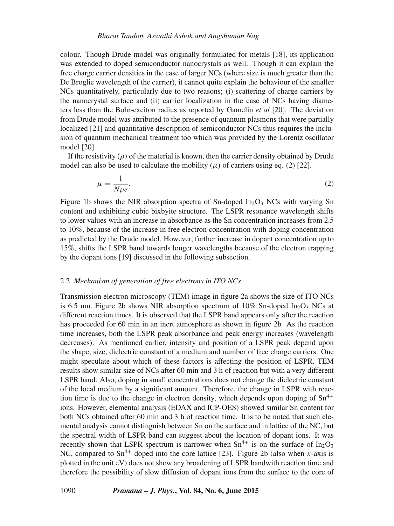colour. Though Drude model was originally formulated for metals [18], its application was extended to doped semiconductor nanocrystals as well. Though it can explain the free charge carrier densities in the case of larger NCs (where size is much greater than the De Broglie wavelength of the carrier), it cannot quite explain the behaviour of the smaller NCs quantitatively, particularly due to two reasons; (i) scattering of charge carriers by the nanocrystal surface and (ii) carrier localization in the case of NCs having diameters less than the Bohr-exciton radius as reported by Gamelin *et al* [20]. The deviation from Drude model was attributed to the presence of quantum plasmons that were partially localized [21] and quantitative description of semiconductor NCs thus requires the inclusion of quantum mechanical treatment too which was provided by the Lorentz oscillator model [20].

If the resistivity  $(\rho)$  of the material is known, then the carrier density obtained by Drude model can also be used to calculate the mobility  $(\mu)$  of carriers using eq. (2) [22].

$$
\mu = \frac{1}{N\rho e}.\tag{2}
$$

Figure 1b shows the NIR absorption spectra of Sn-doped In<sub>2</sub>O<sub>3</sub> NCs with varying Sn content and exhibiting cubic bixbyite structure. The LSPR resonance wavelength shifts to lower values with an increase in absorbance as the Sn concentration increases from 2.5 to 10%, because of the increase in free electron concentration with doping concentration as predicted by the Drude model. However, further increase in dopant concentration up to 15%, shifts the LSPR band towards longer wavelengths because of the electron trapping by the dopant ions [19] discussed in the following subsection.

#### 2.2 *Mechanism of generation of free electrons in ITO NCs*

Transmission electron microscopy (TEM) image in figure 2a shows the size of ITO NCs is 6.5 nm. Figure 2b shows NIR absorption spectrum of  $10\%$  Sn-doped In<sub>2</sub>O<sub>3</sub> NCs at different reaction times. It is observed that the LSPR band appears only after the reaction has proceeded for 60 min in an inert atmosphere as shown in figure 2b. As the reaction time increases, both the LSPR peak absorbance and peak energy increases (wavelength decreases). As mentioned earlier, intensity and position of a LSPR peak depend upon the shape, size, dielectric constant of a medium and number of free charge carriers. One might speculate about which of these factors is affecting the position of LSPR. TEM results show similar size of NCs after 60 min and 3 h of reaction but with a very different LSPR band. Also, doping in small concentrations does not change the dielectric constant of the local medium by a significant amount. Therefore, the change in LSPR with reaction time is due to the change in electron density, which depends upon doping of  $Sn^{4+}$ ions. However, elemental analysis (EDAX and ICP-OES) showed similar Sn content for both NCs obtained after 60 min and 3 h of reaction time. It is to be noted that such elemental analysis cannot distinguish between Sn on the surface and in lattice of the NC, but the spectral width of LSPR band can suggest about the location of dopant ions. It was recently shown that LSPR spectrum is narrower when  $Sn^{4+}$  is on the surface of  $In_2O_3$ NC, compared to  $\text{Sn}^{4+}$  doped into the core lattice [23]. Figure 2b (also when x-axis is plotted in the unit eV) does not show any broadening of LSPR bandwith reaction time and therefore the possibility of slow diffusion of dopant ions from the surface to the core of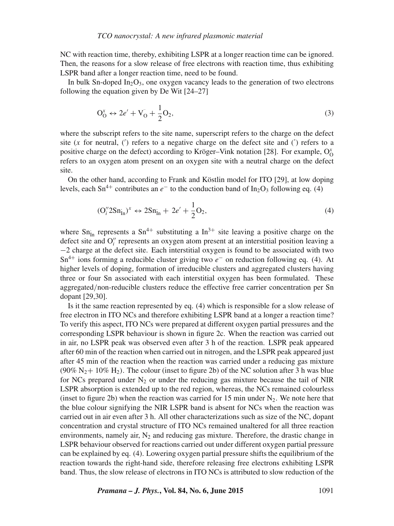NC with reaction time, thereby, exhibiting LSPR at a longer reaction time can be ignored. Then, the reasons for a slow release of free electrons with reaction time, thus exhibiting LSPR band after a longer reaction time, need to be found.

In bulk Sn-doped  $In_2O_3$ , one oxygen vacancy leads to the generation of two electrons following the equation given by De Wit [24–27]

$$
O_O^x \leftrightarrow 2e' + V_O + \frac{1}{2}O_2,\tag{3}
$$

where the subscript refers to the site name, superscript refers to the charge on the defect site  $(x$  for neutral,  $(')$  refers to a negative charge on the defect site and  $(')$  refers to a positive charge on the defect) according to Kröger-Vink notation [28]. For example,  $O_0^x$ refers to an oxygen atom present on an oxygen site with a neutral charge on the defect site.

On the other hand, according to Frank and Köstlin model for ITO [29], at low doping levels, each Sn<sup>4+</sup> contributes an  $e^-$  to the conduction band of In<sub>2</sub>O<sub>3</sub> following eq. (4)

$$
(\mathcal{O}_i'' 2\mathcal{S} \mathbf{n}_{\text{In}}^{\cdot})^x \leftrightarrow 2\mathcal{S} \mathbf{n}_{\text{In}}^{\cdot} + 2e' + \frac{1}{2} \mathcal{O}_2,\tag{4}
$$

where  $Sn_{In}$  represents a  $Sn^{4+}$  substituting a  $In^{3+}$  site leaving a positive charge on the defect site and  $O_i^{\prime\prime}$  represents an oxygen atom present at an interstitial position leaving a −2 charge at the defect site. Each interstitial oxygen is found to be associated with two  $Sn^{4+}$  ions forming a reducible cluster giving two  $e^-$  on reduction following eq. (4). At higher levels of doping, formation of irreducible clusters and aggregated clusters having three or four Sn associated with each interstitial oxygen has been formulated. These aggregated/non-reducible clusters reduce the effective free carrier concentration per Sn dopant [29,30].

Is it the same reaction represented by eq. (4) which is responsible for a slow release of free electron in ITO NCs and therefore exhibiting LSPR band at a longer a reaction time? To verify this aspect, ITO NCs were prepared at different oxygen partial pressures and the corresponding LSPR behaviour is shown in figure 2c. When the reaction was carried out in air, no LSPR peak was observed even after 3 h of the reaction. LSPR peak appeared after 60 min of the reaction when carried out in nitrogen, and the LSPR peak appeared just after 45 min of the reaction when the reaction was carried under a reducing gas mixture (90% N<sub>2</sub>+ 10% H<sub>2</sub>). The colour (inset to figure 2b) of the NC solution after 3 h was blue for NCs prepared under  $N_2$  or under the reducing gas mixture because the tail of NIR LSPR absorption is extended up to the red region, whereas, the NCs remained colourless (inset to figure 2b) when the reaction was carried for 15 min under  $N_2$ . We note here that the blue colour signifying the NIR LSPR band is absent for NCs when the reaction was carried out in air even after 3 h. All other characterizations such as size of the NC, dopant concentration and crystal structure of ITO NCs remained unaltered for all three reaction environments, namely air,  $N_2$  and reducing gas mixture. Therefore, the drastic change in LSPR behaviour observed for reactions carried out under different oxygen partial pressure can be explained by eq. (4). Lowering oxygen partial pressure shifts the equilibrium of the reaction towards the right-hand side, therefore releasing free electrons exhibiting LSPR band. Thus, the slow release of electrons in ITO NCs is attributed to slow reduction of the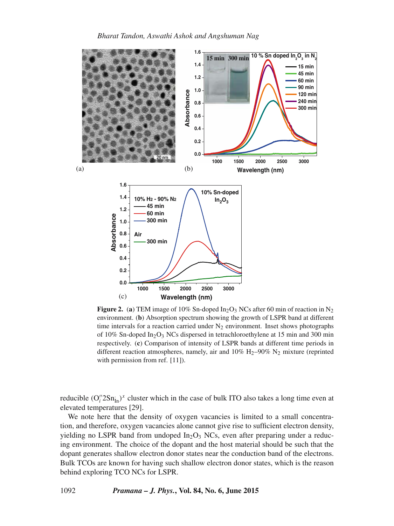

**Figure 2.** (a) TEM image of 10% Sn-doped  $In_2O_3$  NCs after 60 min of reaction in N<sub>2</sub> environment. (**b**) Absorption spectrum showing the growth of LSPR band at different time intervals for a reaction carried under  $N_2$  environment. Inset shows photographs of 10% Sn-doped In2O3 NCs dispersed in tetrachloroethylene at 15 min and 300 min respectively. (**c**) Comparison of intensity of LSPR bands at different time periods in different reaction atmospheres, namely, air and  $10\%$  H<sub>2</sub>–90% N<sub>2</sub> mixture (reprinted with permission from ref. [11]).

reducible  $(O_i'' 2Sn_{in})^x$  cluster which in the case of bulk ITO also takes a long time even at elevated temperatures [29].

We note here that the density of oxygen vacancies is limited to a small concentration, and therefore, oxygen vacancies alone cannot give rise to sufficient electron density, yielding no LSPR band from undoped  $In_2O_3$  NCs, even after preparing under a reducing environment. The choice of the dopant and the host material should be such that the dopant generates shallow electron donor states near the conduction band of the electrons. Bulk TCOs are known for having such shallow electron donor states, which is the reason behind exploring TCO NCs for LSPR.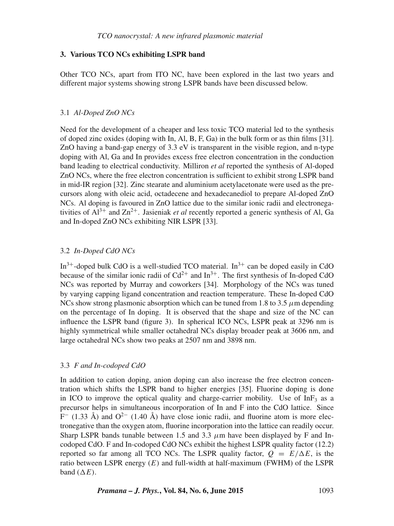### **3. Various TCO NCs exhibiting LSPR band**

Other TCO NCs, apart from ITO NC, have been explored in the last two years and different major systems showing strong LSPR bands have been discussed below.

### 3.1 *Al-Doped ZnO NCs*

Need for the development of a cheaper and less toxic TCO material led to the synthesis of doped zinc oxides (doping with In, Al, B, F, Ga) in the bulk form or as thin films [31]. ZnO having a band-gap energy of 3.3 eV is transparent in the visible region, and n-type doping with Al, Ga and In provides excess free electron concentration in the conduction band leading to electrical conductivity. Milliron *et al* reported the synthesis of Al-doped ZnO NCs, where the free electron concentration is sufficient to exhibit strong LSPR band in mid-IR region [32]. Zinc stearate and aluminium acetylacetonate were used as the precursors along with oleic acid, octadecene and hexadecanediol to prepare Al-doped ZnO NCs. Al doping is favoured in ZnO lattice due to the similar ionic radii and electronegativities of  $Al^{3+}$  and  $Zn^{2+}$ . Jasieniak *et al* recently reported a generic synthesis of Al, Ga and In-doped ZnO NCs exhibiting NIR LSPR [33].

### 3.2 *In-Doped CdO NCs*

 $In^{3+}$ -doped bulk CdO is a well-studied TCO material.  $In^{3+}$  can be doped easily in CdO because of the similar ionic radii of  $Cd^{2+}$  and  $In^{3+}$ . The first synthesis of In-doped CdO NCs was reported by Murray and coworkers [34]. Morphology of the NCs was tuned by varying capping ligand concentration and reaction temperature. These In-doped CdO NCs show strong plasmonic absorption which can be tuned from 1.8 to 3.5  $\mu$ m depending on the percentage of In doping. It is observed that the shape and size of the NC can influence the LSPR band (figure 3). In spherical ICO NCs, LSPR peak at 3296 nm is highly symmetrical while smaller octahedral NCs display broader peak at 3606 nm, and large octahedral NCs show two peaks at 2507 nm and 3898 nm.

### 3.3 *F and In-codoped CdO*

In addition to cation doping, anion doping can also increase the free electron concentration which shifts the LSPR band to higher energies [35]. Fluorine doping is done in ICO to improve the optical quality and charge-carrier mobility. Use of  $InF<sub>3</sub>$  as a precursor helps in simultaneous incorporation of In and F into the CdO lattice. Since  $F^-$  (1.33 Å) and  $O^{2-}$  (1.40 Å) have close ionic radii, and fluorine atom is more electronegative than the oxygen atom, fluorine incorporation into the lattice can readily occur. Sharp LSPR bands tunable between 1.5 and 3.3  $\mu$ m have been displayed by F and Incodoped CdO. F and In-codoped CdO NCs exhibit the highest LSPR quality factor (12.2) reported so far among all TCO NCs. The LSPR quality factor,  $Q = E/\Delta E$ , is the ratio between LSPR energy  $(E)$  and full-width at half-maximum (FWHM) of the LSPR band  $(\Delta E)$ .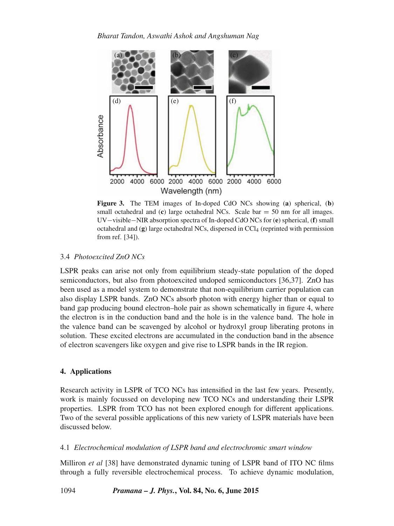

**Figure 3.** The TEM images of In-doped CdO NCs showing (**a**) spherical, (**b**) small octahedral and  $(c)$  large octahedral NCs. Scale bar  $= 50$  nm for all images. UV−visible−NIR absorption spectra of In-doped CdO NCs for (**e**) spherical, (**f**) small octahedral and (g) large octahedral NCs, dispersed in CCl<sub>4</sub> (reprinted with permission from ref. [34]).

## 3.4 *Photoexcited ZnO NCs*

LSPR peaks can arise not only from equilibrium steady-state population of the doped semiconductors, but also from photoexcited undoped semiconductors [36,37]. ZnO has been used as a model system to demonstrate that non-equilibrium carrier population can also display LSPR bands. ZnO NCs absorb photon with energy higher than or equal to band gap producing bound electron–hole pair as shown schematically in figure 4, where the electron is in the conduction band and the hole is in the valence band. The hole in the valence band can be scavenged by alcohol or hydroxyl group liberating protons in solution. These excited electrons are accumulated in the conduction band in the absence of electron scavengers like oxygen and give rise to LSPR bands in the IR region.

### **4. Applications**

Research activity in LSPR of TCO NCs has intensified in the last few years. Presently, work is mainly focussed on developing new TCO NCs and understanding their LSPR properties. LSPR from TCO has not been explored enough for different applications. Two of the several possible applications of this new variety of LSPR materials have been discussed below.

### 4.1 *Electrochemical modulation of LSPR band and electrochromic smart window*

Milliron *et al* [38] have demonstrated dynamic tuning of LSPR band of ITO NC films through a fully reversible electrochemical process. To achieve dynamic modulation,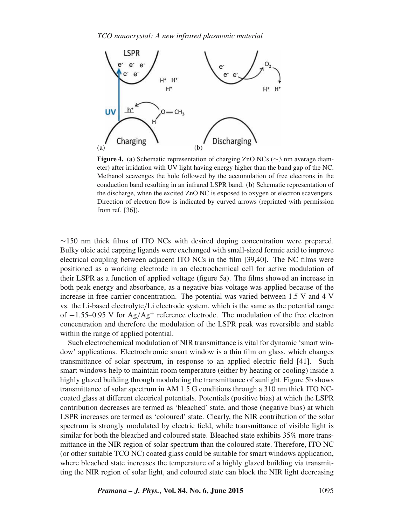

**Figure 4.** (**a**) Schematic representation of charging ZnO NCs (∼3 nm average diameter) after irridation with UV light having energy higher than the band gap of the NC. Methanol scavenges the hole followed by the accumulation of free electrons in the conduction band resulting in an infrared LSPR band. (**b**) Schematic representation of the discharge, when the excited ZnO NC is exposed to oxygen or electron scavengers. Direction of electron flow is indicated by curved arrows (reprinted with permission from ref. [36]).

∼150 nm thick films of ITO NCs with desired doping concentration were prepared. Bulky oleic acid capping ligands were exchanged with small-sized formic acid to improve electrical coupling between adjacent ITO NCs in the film [39,40]. The NC films were positioned as a working electrode in an electrochemical cell for active modulation of their LSPR as a function of applied voltage (figure 5a). The films showed an increase in both peak energy and absorbance, as a negative bias voltage was applied because of the increase in free carrier concentration. The potential was varied between 1.5 V and 4 V vs. the Li-based electrolyte/Li electrode system, which is the same as the potential range of  $-1.55-0.95$  V for Ag/Ag<sup>+</sup> reference electrode. The modulation of the free electron concentration and therefore the modulation of the LSPR peak was reversible and stable within the range of applied potential.

Such electrochemical modulation of NIR transmittance is vital for dynamic 'smart window' applications. Electrochromic smart window is a thin film on glass, which changes transmittance of solar spectrum, in response to an applied electric field [41]. Such smart windows help to maintain room temperature (either by heating or cooling) inside a highly glazed building through modulating the transmittance of sunlight. Figure 5b shows transmittance of solar spectrum in AM 1.5 G conditions through a 310 nm thick ITO NCcoated glass at different electrical potentials. Potentials (positive bias) at which the LSPR contribution decreases are termed as 'bleached' state, and those (negative bias) at which LSPR increases are termed as 'coloured' state. Clearly, the NIR contribution of the solar spectrum is strongly modulated by electric field, while transmittance of visible light is similar for both the bleached and coloured state. Bleached state exhibits 35% more transmittance in the NIR region of solar spectrum than the coloured state. Therefore, ITO NC (or other suitable TCO NC) coated glass could be suitable for smart windows application, where bleached state increases the temperature of a highly glazed building via transmitting the NIR region of solar light, and coloured state can block the NIR light decreasing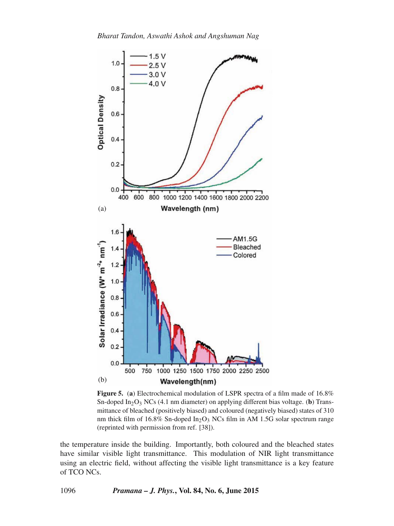

**Figure 5.** (**a**) Electrochemical modulation of LSPR spectra of a film made of 16.8% Sn-doped  $In_2O_3$  NCs (4.1 nm diameter) on applying different bias voltage. (**b**) Transmittance of bleached (positively biased) and coloured (negatively biased) states of 310 nm thick film of  $16.8\%$  Sn-doped In<sub>2</sub>O<sub>3</sub> NCs film in AM 1.5G solar spectrum range (reprinted with permission from ref. [38]).

the temperature inside the building. Importantly, both coloured and the bleached states have similar visible light transmittance. This modulation of NIR light transmittance using an electric field, without affecting the visible light transmittance is a key feature of TCO NCs.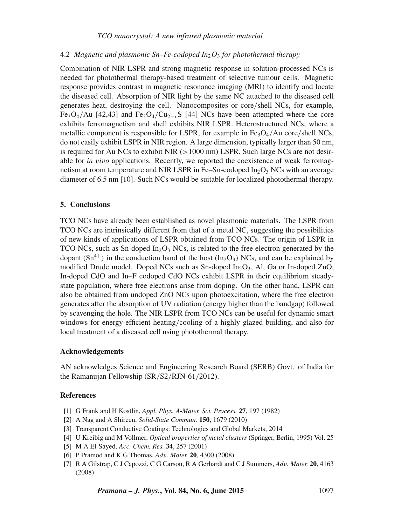### *TCO nanocrystal: A new infrared plasmonic material*

### 4.2 *Magnetic and plasmonic Sn–Fe-codoped In*2O<sup>3</sup> *for photothermal therapy*

Combination of NIR LSPR and strong magnetic response in solution-processed NCs is needed for photothermal therapy-based treatment of selective tumour cells. Magnetic response provides contrast in magnetic resonance imaging (MRI) to identify and locate the diseased cell. Absorption of NIR light by the same NC attached to the diseased cell generates heat, destroying the cell. Nanocomposites or core/shell NCs, for example, Fe<sub>3</sub>O<sub>4</sub>/Au [42,43] and Fe<sub>3</sub>O<sub>4</sub>/Cu<sub>2-x</sub>S [44] NCs have been attempted where the core exhibits ferromagnetism and shell exhibits NIR LSPR. Heterostructured NCs, where a metallic component is responsible for LSPR, for example in  $Fe<sub>3</sub>O<sub>4</sub>/Au$  core/shell NCs, do not easily exhibit LSPR in NIR region. A large dimension, typically larger than 50 nm, is required for Au NCs to exhibit NIR  $(>1000 \text{ nm})$  LSPR. Such large NCs are not desirable for *in* v*i*v*o* applications. Recently, we reported the coexistence of weak ferromagnetism at room temperature and NIR LSPR in Fe–Sn-codoped  $In_2O_3$  NCs with an average diameter of 6.5 nm [10]. Such NCs would be suitable for localized photothermal therapy.

### **5. Conclusions**

TCO NCs have already been established as novel plasmonic materials. The LSPR from TCO NCs are intrinsically different from that of a metal NC, suggesting the possibilities of new kinds of applications of LSPR obtained from TCO NCs. The origin of LSPR in TCO NCs, such as Sn-doped In<sub>2</sub>O<sub>3</sub> NCs, is related to the free electron generated by the dopant (Sn<sup>4+</sup>) in the conduction band of the host (In<sub>2</sub>O<sub>3</sub>) NCs, and can be explained by modified Drude model. Doped NCs such as Sn-doped  $In_2O_3$ , Al, Ga or In-doped ZnO, In-doped CdO and In–F codoped CdO NCs exhibit LSPR in their equilibrium steadystate population, where free electrons arise from doping. On the other hand, LSPR can also be obtained from undoped ZnO NCs upon photoexcitation, where the free electron generates after the absorption of UV radiation (energy higher than the bandgap) followed by scavenging the hole. The NIR LSPR from TCO NCs can be useful for dynamic smart windows for energy-efficient heating/cooling of a highly glazed building, and also for local treatment of a diseased cell using photothermal therapy.

### **Acknowledgements**

AN acknowledges Science and Engineering Research Board (SERB) Govt. of India for the Ramanujan Fellowship (SR/S2/RJN-61/2012).

### **References**

- [1] G Frank and H Kostlin, *Appl. Phys. A-Mater. Sci. Process.* **27**, 197 (1982)
- [2] A Nag and A Shireen, *Solid-State Commun.* **150**, 1679 (2010)
- [3] Transparent Conductive Coatings: Technologies and Global Markets, 2014
- [4] U Kreibig and M Vollmer, *Optical properties of metal clusters* (Springer, Berlin, 1995) Vol. 25
- [5] M A El-Sayed, *Acc. Chem. Res.* **34**, 257 (2001)
- [6] P Pramod and K G Thomas, *Ad*v*. Mater.* **20**, 4300 (2008)
- [7] R A Gilstrap, C J Capozzi, C G Carson, R A Gerhardt and C J Summers, *Ad*v*. Mater.* **20**, 4163 (2008)